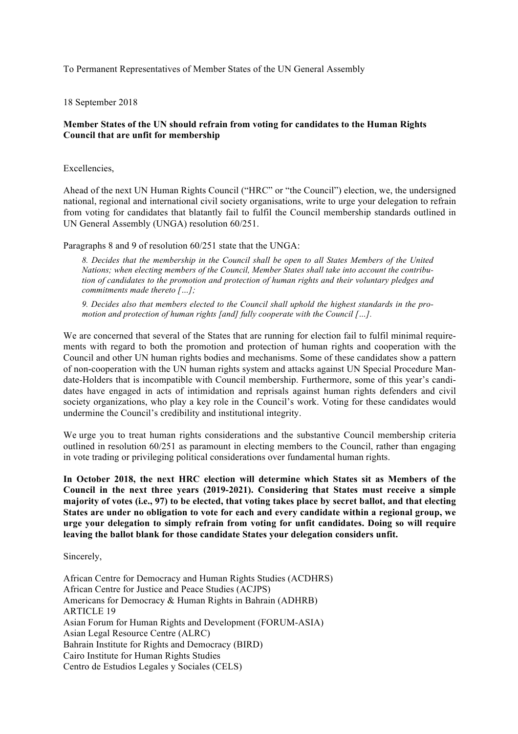To Permanent Representatives of Member States of the UN General Assembly

18 September 2018

## **Member States of the UN should refrain from voting for candidates to the Human Rights Council that are unfit for membership**

Excellencies,

Ahead of the next UN Human Rights Council ("HRC" or "the Council") election, we, the undersigned national, regional and international civil society organisations, write to urge your delegation to refrain from voting for candidates that blatantly fail to fulfil the Council membership standards outlined in UN General Assembly (UNGA) resolution 60/251.

Paragraphs 8 and 9 of resolution 60/251 state that the UNGA:

*8. Decides that the membership in the Council shall be open to all States Members of the United Nations; when electing members of the Council, Member States shall take into account the contribution of candidates to the promotion and protection of human rights and their voluntary pledges and commitments made thereto […];* 

*9. Decides also that members elected to the Council shall uphold the highest standards in the promotion and protection of human rights [and] fully cooperate with the Council […].* 

We are concerned that several of the States that are running for election fail to fulfil minimal requirements with regard to both the promotion and protection of human rights and cooperation with the Council and other UN human rights bodies and mechanisms. Some of these candidates show a pattern of non-cooperation with the UN human rights system and attacks against UN Special Procedure Mandate-Holders that is incompatible with Council membership. Furthermore, some of this year's candidates have engaged in acts of intimidation and reprisals against human rights defenders and civil society organizations, who play a key role in the Council's work. Voting for these candidates would undermine the Council's credibility and institutional integrity.

We urge you to treat human rights considerations and the substantive Council membership criteria outlined in resolution 60/251 as paramount in electing members to the Council, rather than engaging in vote trading or privileging political considerations over fundamental human rights.

**In October 2018, the next HRC election will determine which States sit as Members of the Council in the next three years (2019-2021). Considering that States must receive a simple majority of votes (i.e., 97) to be elected, that voting takes place by secret ballot, and that electing States are under no obligation to vote for each and every candidate within a regional group, we urge your delegation to simply refrain from voting for unfit candidates. Doing so will require leaving the ballot blank for those candidate States your delegation considers unfit.** 

Sincerely,

African Centre for Democracy and Human Rights Studies (ACDHRS) African Centre for Justice and Peace Studies (ACJPS) Americans for Democracy & Human Rights in Bahrain (ADHRB) ARTICLE 19 Asian Forum for Human Rights and Development (FORUM-ASIA) Asian Legal Resource Centre (ALRC) Bahrain Institute for Rights and Democracy (BIRD) Cairo Institute for Human Rights Studies Centro de Estudios Legales y Sociales (CELS)